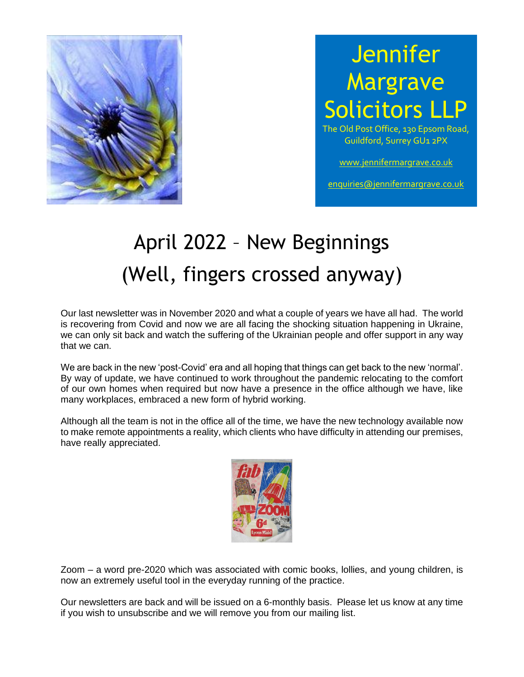

## **Jennifer Margrave Solicitors LI**

The Old Post Office, 130 Epsom Road, Guildford, Surrey GU1 2PX

[www.jennifermargrave.co.uk](http://www.jennifermargrave.co.uk/)

[enquiries@jennifermargrave.co.uk](mailto:enquiries@jennifermargrave.co.uk)

# April 2022 – New Beginnings (Well, fingers crossed anyway)

Our last newsletter was in November 2020 and what a couple of years we have all had. The world is recovering from Covid and now we are all facing the shocking situation happening in Ukraine, we can only sit back and watch the suffering of the Ukrainian people and offer support in any way that we can.

We are back in the new 'post-Covid' era and all hoping that things can get back to the new 'normal'. By way of update, we have continued to work throughout the pandemic relocating to the comfort of our own homes when required but now have a presence in the office although we have, like many workplaces, embraced a new form of hybrid working.

Although all the team is not in the office all of the time, we have the new technology available now to make remote appointments a reality, which clients who have difficulty in attending our premises, have really appreciated.



Zoom – a word pre-2020 which was associated with comic books, lollies, and young children, is now an extremely useful tool in the everyday running of the practice.

Our newsletters are back and will be issued on a 6-monthly basis. Please let us know at any time if you wish to unsubscribe and we will remove you from our mailing list.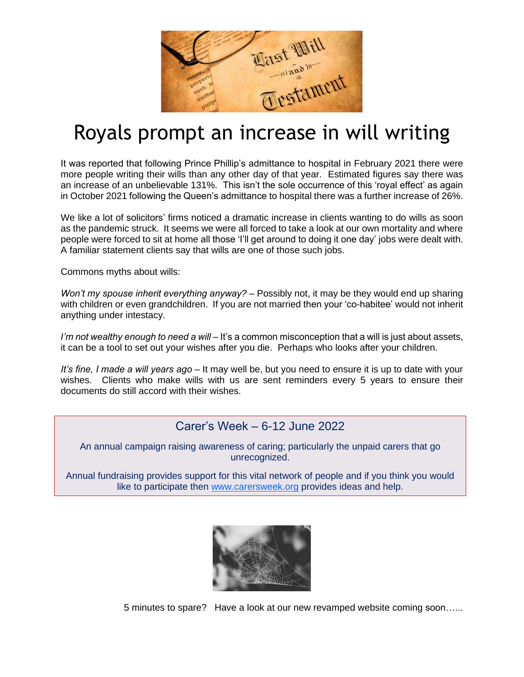

#### Royals prompt an increase in will writing

It was reported that following Prince Phillip's admittance to hospital in February 2021 there were more people writing their wills than any other day of that year. Estimated figures say there was an increase of an unbelievable 131%. This isn't the sole occurrence of this 'royal effect' as again in October 2021 following the Queen's admittance to hospital there was a further increase of 26%.

We like a lot of solicitors' firms noticed a dramatic increase in clients wanting to do wills as soon as the pandemic struck. It seems we were all forced to take a look at our own mortality and where people were forced to sit at home all those 'I'll get around to doing it one day' jobs were dealt with. A familiar statement clients say that wills are one of those such jobs.

Commons myths about wills:

*Won't my spouse inherit everything anyway?* – Possibly not, it may be they would end up sharing with children or even grandchildren. If you are not married then your 'co-habitee' would not inherit anything under intestacy.

*I'm not wealthy enough to need a will* – It's a common misconception that a will is just about assets, it can be a tool to set out your wishes after you die. Perhaps who looks after your children.

*It's fine, I made a will years ago* – It may well be, but you need to ensure it is up to date with your wishes. Clients who make wills with us are sent reminders every 5 years to ensure their documents do still accord with their wishes.

#### Carer's Week – 6-12 June 2022

An annual campaign raising awareness of caring; particularly the unpaid carers that go unrecognized.

Annual fundraising provides support for this vital network of people and if you think you would like to participate then [www.carersweek.org](http://www.carersweek.org/) provides ideas and help.



5 minutes to spare? Have a look at our new revamped website coming soon…...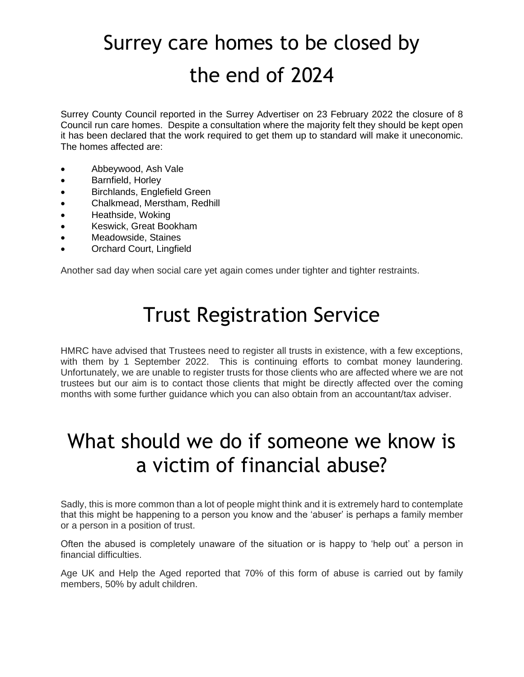## Surrey care homes to be closed by the end of 2024

Surrey County Council reported in the Surrey Advertiser on 23 February 2022 the closure of 8 Council run care homes. Despite a consultation where the majority felt they should be kept open it has been declared that the work required to get them up to standard will make it uneconomic. The homes affected are:

- Abbeywood, Ash Vale
- Barnfield, Horley
- Birchlands, Englefield Green
- Chalkmead, Merstham, Redhill
- Heathside, Woking
- Keswick, Great Bookham
- Meadowside, Staines
- Orchard Court, Lingfield

Another sad day when social care yet again comes under tighter and tighter restraints.

## Trust Registration Service

HMRC have advised that Trustees need to register all trusts in existence, with a few exceptions, with them by 1 September 2022. This is continuing efforts to combat money laundering. Unfortunately, we are unable to register trusts for those clients who are affected where we are not trustees but our aim is to contact those clients that might be directly affected over the coming months with some further guidance which you can also obtain from an accountant/tax adviser.

#### What should we do if someone we know is a victim of financial abuse?

Sadly, this is more common than a lot of people might think and it is extremely hard to contemplate that this might be happening to a person you know and the 'abuser' is perhaps a family member or a person in a position of trust.

Often the abused is completely unaware of the situation or is happy to 'help out' a person in financial difficulties.

Age UK and Help the Aged reported that 70% of this form of abuse is carried out by family members, 50% by adult children.